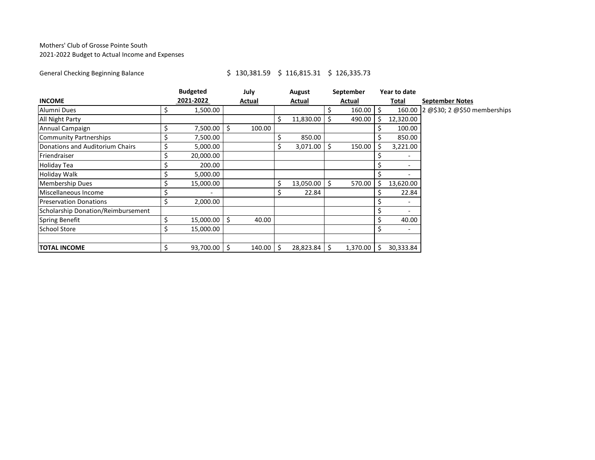## Mothers' Club of Grosse Pointe South 2021-2022 Budget to Actual Income and Expenses

## General Checking Beginning Balance <br>\$ 130,381.59 \$ 116,815.31 \$ 126,335.73

| <b>INCOME</b><br>Alumni Dues       |    | <b>Budgeted</b><br>2021-2022 |   | July<br>Actual |    | August    | September |             |          | Year to date |                              |  |
|------------------------------------|----|------------------------------|---|----------------|----|-----------|-----------|-------------|----------|--------------|------------------------------|--|
|                                    |    |                              |   |                |    | Actual    |           | Actual      |          | Total        | <b>September Notes</b>       |  |
|                                    |    | 1,500.00                     |   |                |    |           |           | $160.00$ \$ |          | 160.00       | 2 @\$30; 2 @\$50 memberships |  |
| All Night Party                    |    |                              |   |                | \$ | 11,830.00 |           | 490.00      |          | 12,320.00    |                              |  |
| Annual Campaign                    | \$ | 7,500.00                     |   | 100.00         |    |           |           |             |          | 100.00       |                              |  |
| <b>Community Partnerships</b>      |    | 7,500.00                     |   |                | \$ | 850.00    |           |             |          | 850.00       |                              |  |
| Donations and Auditorium Chairs    | \$ | 5,000.00                     |   |                | \$ | 3,071.00  |           | 150.00      |          | 3,221.00     |                              |  |
| Friendraiser                       |    | 20,000.00                    |   |                |    |           |           |             |          |              |                              |  |
| <b>Holiday Tea</b>                 |    | 200.00                       |   |                |    |           |           |             |          |              |                              |  |
| <b>Holiday Walk</b>                |    | 5,000.00                     |   |                |    |           |           |             |          |              |                              |  |
| <b>Membership Dues</b>             |    | 15,000.00                    |   |                | \$ | 13,050.00 |           | 570.00      |          | 13,620.00    |                              |  |
| Miscellaneous Income               |    |                              |   |                | \$ | 22.84     |           |             |          | 22.84        |                              |  |
| <b>Preservation Donations</b>      | \$ | 2,000.00                     |   |                |    |           |           |             |          |              |                              |  |
| Scholarship Donation/Reimbursement |    |                              |   |                |    |           |           |             |          |              |                              |  |
| <b>Spring Benefit</b>              |    | 15,000.00                    | S | 40.00          |    |           |           |             |          | 40.00        |                              |  |
| <b>School Store</b>                |    | 15,000.00                    |   |                |    |           |           |             | \$.      |              |                              |  |
| <b>TOTAL INCOME</b>                |    | 93,700.00                    |   | 140.00         |    | 28,823.84 |           | 1,370.00    | <b>S</b> | 30,333.84    |                              |  |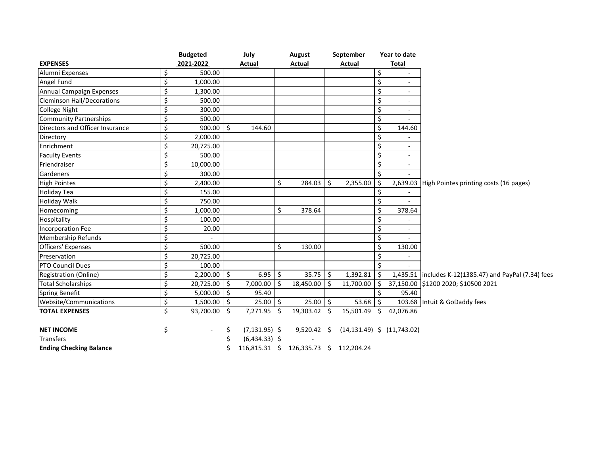|                                   |    | <b>Budgeted</b> |         | July             |    | <b>August</b>                          |                     | September                                    |           | Year to date             |                                                        |
|-----------------------------------|----|-----------------|---------|------------------|----|----------------------------------------|---------------------|----------------------------------------------|-----------|--------------------------|--------------------------------------------------------|
| <b>EXPENSES</b>                   |    | 2021-2022       |         | <b>Actual</b>    |    | <b>Actual</b>                          |                     | <b>Actual</b>                                |           | <b>Total</b>             |                                                        |
| Alumni Expenses                   | \$ | 500.00          |         |                  |    |                                        |                     |                                              | \$        |                          |                                                        |
| Angel Fund                        | \$ | 1,000.00        |         |                  |    |                                        |                     |                                              | \$        | $\sim$                   |                                                        |
| Annual Campaign Expenses          | \$ | 1,300.00        |         |                  |    |                                        |                     |                                              | Ś.        |                          |                                                        |
| <b>Cleminson Hall/Decorations</b> | \$ | 500.00          |         |                  |    |                                        |                     |                                              | \$        | $\blacksquare$           |                                                        |
| <b>College Night</b>              | \$ | 300.00          |         |                  |    |                                        |                     |                                              | \$        | $\overline{\phantom{a}}$ |                                                        |
| <b>Community Partnerships</b>     | \$ | 500.00          |         |                  |    |                                        |                     |                                              | \$        |                          |                                                        |
| Directors and Officer Insurance   | \$ | $900.00$ \$     |         | 144.60           |    |                                        |                     |                                              | \$        | 144.60                   |                                                        |
| Directory                         | \$ | 2,000.00        |         |                  |    |                                        |                     |                                              | \$        |                          |                                                        |
| Enrichment                        | \$ | 20,725.00       |         |                  |    |                                        |                     |                                              | \$        | $\sim$                   |                                                        |
| <b>Faculty Events</b>             | \$ | 500.00          |         |                  |    |                                        |                     |                                              | \$        |                          |                                                        |
| Friendraiser                      | \$ | 10,000.00       |         |                  |    |                                        |                     |                                              | \$        |                          |                                                        |
| Gardeners                         | \$ | 300.00          |         |                  |    |                                        |                     |                                              | Ś         |                          |                                                        |
| <b>High Pointes</b>               | \$ | 2,400.00        |         |                  | Ś. | 284.03                                 | $\ddot{\mathsf{S}}$ | 2,355.00                                     | \$        |                          | 2,639.03 High Pointes printing costs (16 pages)        |
| <b>Holiday Tea</b>                | \$ | 155.00          |         |                  |    |                                        |                     |                                              | \$        |                          |                                                        |
| <b>Holiday Walk</b>               | \$ | 750.00          |         |                  |    |                                        |                     |                                              | \$        |                          |                                                        |
| Homecoming                        | \$ | 1,000.00        |         |                  | \$ | 378.64                                 |                     |                                              | \$        | 378.64                   |                                                        |
| Hospitality                       | \$ | 100.00          |         |                  |    |                                        |                     |                                              | \$        |                          |                                                        |
| Incorporation Fee                 | \$ | 20.00           |         |                  |    |                                        |                     |                                              | \$        | $\sim$                   |                                                        |
| Membership Refunds                | \$ |                 |         |                  |    |                                        |                     |                                              | \$        |                          |                                                        |
| Officers' Expenses                | \$ | 500.00          |         |                  | Ś. | 130.00                                 |                     |                                              | \$        | 130.00                   |                                                        |
| Preservation                      | \$ | 20,725.00       |         |                  |    |                                        |                     |                                              | \$        |                          |                                                        |
| PTO Council Dues                  | \$ | 100.00          |         |                  |    |                                        |                     |                                              | \$        |                          |                                                        |
| Registration (Online)             | \$ | $2,200.00$ \$   |         | 6.95             | \$ | $35.75$ \$                             |                     | 1,392.81                                     | $\vert$ s |                          | 1,435.51 includes K-12(1385.47) and PayPal (7.34) fees |
| <b>Total Scholarships</b>         | \$ | 20,725.00       | $\zeta$ | 7,000.00         | Ś  | 18,450.00                              | \$                  | 11,700.00                                    | \$        |                          | 37,150.00 \$1200 2020; \$10500 2021                    |
| <b>Spring Benefit</b>             | \$ | $5,000.00$ \$   |         | 95.40            |    |                                        |                     |                                              | \$        | 95.40                    |                                                        |
| Website/Communications            | \$ | $1,500.00$ \$   |         | 25.00            | Ś. | $25.00$ \$                             |                     | $53.68$ \$                                   |           |                          | 103.68 Intuit & GoDaddy fees                           |
| <b>TOTAL EXPENSES</b>             | Ś  | 93,700.00 \$    |         | 7,271.95 \$      |    | 19,303.42 \$                           |                     | 15,501.49 \$                                 |           | 42,076.86                |                                                        |
| <b>NET INCOME</b>                 | \$ |                 |         | $(7, 131.95)$ \$ |    |                                        |                     | $9,520.42 \div (14,131.49) \div (11,743.02)$ |           |                          |                                                        |
| <b>Transfers</b>                  |    |                 |         | $(6,434.33)$ \$  |    |                                        |                     |                                              |           |                          |                                                        |
| <b>Ending Checking Balance</b>    |    |                 |         |                  |    | 116,815.31 \$ 126,335.73 \$ 112,204.24 |                     |                                              |           |                          |                                                        |